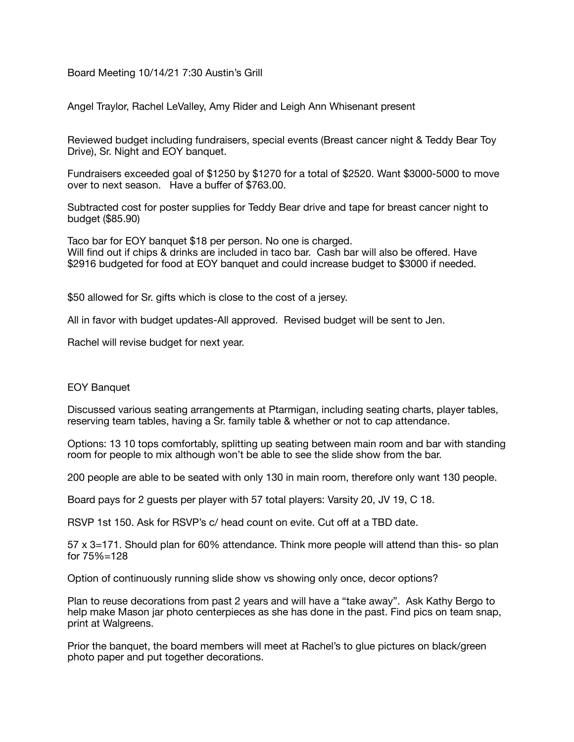Board Meeting 10/14/21 7:30 Austin's Grill

Angel Traylor, Rachel LeValley, Amy Rider and Leigh Ann Whisenant present

Reviewed budget including fundraisers, special events (Breast cancer night & Teddy Bear Toy Drive), Sr. Night and EOY banquet.

Fundraisers exceeded goal of \$1250 by \$1270 for a total of \$2520. Want \$3000-5000 to move over to next season. Have a buffer of \$763.00.

Subtracted cost for poster supplies for Teddy Bear drive and tape for breast cancer night to budget (\$85.90)

Taco bar for EOY banquet \$18 per person. No one is charged. Will find out if chips & drinks are included in taco bar. Cash bar will also be offered. Have \$2916 budgeted for food at EOY banquet and could increase budget to \$3000 if needed.

\$50 allowed for Sr. gifts which is close to the cost of a jersey.

All in favor with budget updates-All approved. Revised budget will be sent to Jen.

Rachel will revise budget for next year.

## EOY Banquet

Discussed various seating arrangements at Ptarmigan, including seating charts, player tables, reserving team tables, having a Sr. family table & whether or not to cap attendance.

Options: 13 10 tops comfortably, splitting up seating between main room and bar with standing room for people to mix although won't be able to see the slide show from the bar.

200 people are able to be seated with only 130 in main room, therefore only want 130 people.

Board pays for 2 guests per player with 57 total players: Varsity 20, JV 19, C 18.

RSVP 1st 150. Ask for RSVP's c/ head count on evite. Cut off at a TBD date.

57 x 3=171. Should plan for 60% attendance. Think more people will attend than this- so plan for 75%=128

Option of continuously running slide show vs showing only once, decor options?

Plan to reuse decorations from past 2 years and will have a "take away". Ask Kathy Bergo to help make Mason jar photo centerpieces as she has done in the past. Find pics on team snap, print at Walgreens.

Prior the banquet, the board members will meet at Rachel's to glue pictures on black/green photo paper and put together decorations.